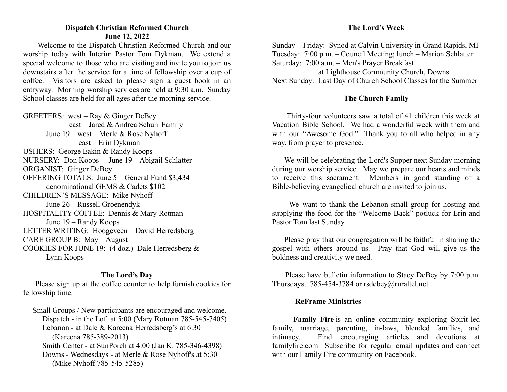# **Dispatch Christian Reformed Church June 12, 2022**

Welcome to the Dispatch Christian Reformed Church and our worship today with Interim Pastor Tom Dykman. We extend a special welcome to those who are visiting and invite you to join us downstairs after the service for a time of fellowship over a cup of coffee. Visitors are asked to please sign a guest book in an entryway. Morning worship services are held at 9:30 a.m. Sunday School classes are held for all ages after the morning service.

GREETERS: west – Ray & Ginger DeBey east – Jared & Andrea Schurr Family June 19 – west – Merle & Rose Nyhoff east – Erin Dykman USHERS: George Eakin & Randy Koops NURSERY: Don Koops June 19 – Abigail Schlatter ORGANIST: Ginger DeBey OFFERING TOTALS: June 5 – General Fund \$3,434 denominational GEMS & Cadets \$102 CHILDREN'S MESSAGE: Mike Nyhoff June 26 – Russell Groenendyk HOSPITALITY COFFEE: Dennis & Mary Rotman June 19 – Randy Koops LETTER WRITING: Hoogeveen – David Herredsberg CARE GROUP B: May – August COOKIES FOR JUNE 19: (4 doz.) Dale Herredsberg & Lynn Koops

### **The Lord's Day**

Please sign up at the coffee counter to help furnish cookies for fellowship time.

Small Groups / New participants are encouraged and welcome. Dispatch - in the Loft at 5:00 (Mary Rotman 785-545-7405) Lebanon - at Dale & Kareena Herredsberg's at 6:30 (Kareena 785-389-2013) Smith Center - at SunPorch at 4:00 (Jan K. 785-346-4398) Downs - Wednesdays - at Merle & Rose Nyhoff's at 5:30 (Mike Nyhoff 785-545-5285)

Sunday – Friday: Synod at Calvin University in Grand Rapids, MI Tuesday: 7:00 p.m. – Council Meeting; lunch – Marion Schlatter Saturday: 7:00 a.m. – Men's Prayer Breakfast at Lighthouse Community Church, Downs Next Sunday: Last Day of Church School Classes for the Summer

# **The Church Family**

Thirty-four volunteers saw a total of 41 children this week at Vacation Bible School. We had a wonderful week with them and with our "Awesome God." Thank you to all who helped in any way, from prayer to presence.

We will be celebrating the Lord's Supper next Sunday morning during our worship service. May we prepare our hearts and minds to receive this sacrament. Members in good standing of a Bible-believing evangelical church are invited to join us.

We want to thank the Lebanon small group for hosting and supplying the food for the "Welcome Back" potluck for Erin and Pastor Tom last Sunday.

Please pray that our congregation will be faithful in sharing the gospel with others around us. Pray that God will give us the boldness and creativity we need.

Please have bulletin information to Stacy DeBey by 7:00 p.m. Thursdays. 785-454-3784 or rsdebey@ruraltel.net

# **ReFrame Ministries**

**Family Fire** is an online community exploring Spirit-led family, marriage, parenting, in-laws, blended families, and intimacy. Find encouraging articles and devotions at familyfire.com Subscribe for regular email updates and connect with our Family Fire community on Facebook.